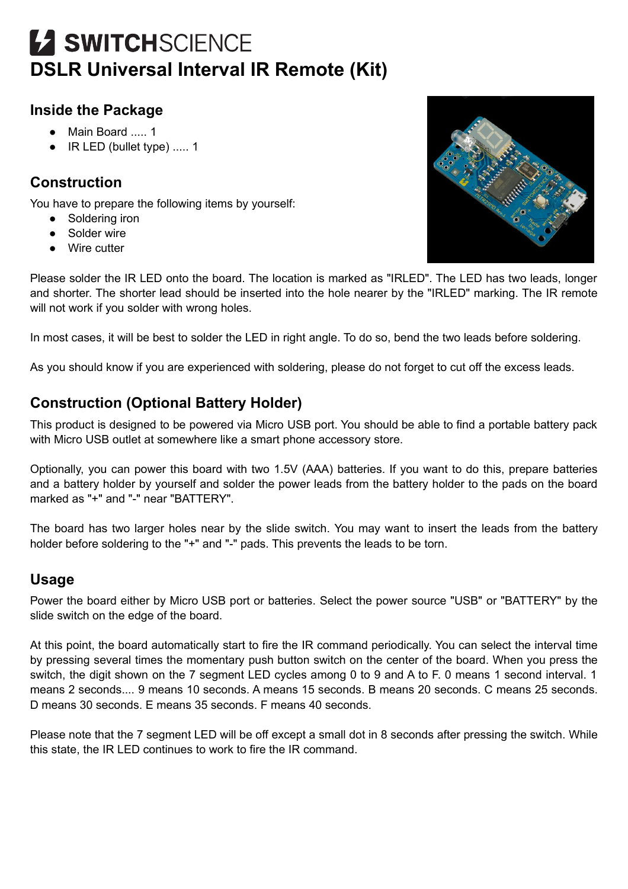# **12 SWITCHSCIENCE DSLR Universal Interval IR Remote (Kit)**

#### **Inside the Package**

- Main Board ..... 1
- IR LED (bullet type) ..... 1

# **Construction**

You have to prepare the following items by yourself:

- Soldering iron
- Solder wire
- Wire cutter

Please solder the IR LED onto the board. The location is marked as "IRLED". The LED has two leads, longer and shorter. The shorter lead should be inserted into the hole nearer by the "IRLED" marking. The IR remote will not work if you solder with wrong holes.

In most cases, it will be best to solder the LED in right angle. To do so, bend the two leads before soldering.

As you should know if you are experienced with soldering, please do not forget to cut off the excess leads.

## **Construction (Optional Battery Holder)**

This product is designed to be powered via Micro USB port. You should be able to find a portable battery pack with Micro USB outlet at somewhere like a smart phone accessory store.

Optionally, you can power this board with two 1.5V (AAA) batteries. If you want to do this, prepare batteries and a battery holder by yourself and solder the power leads from the battery holder to the pads on the board marked as "+" and "-" near "BATTERY".

The board has two larger holes near by the slide switch. You may want to insert the leads from the battery holder before soldering to the "+" and "-" pads. This prevents the leads to be torn.

#### **Usage**

Power the board either by Micro USB port or batteries. Select the power source "USB" or "BATTERY" by the slide switch on the edge of the board.

At this point, the board automatically start to fire the IR command periodically. You can select the interval time by pressing several times the momentary push button switch on the center of the board. When you press the switch, the digit shown on the 7 segment LED cycles among 0 to 9 and A to F. 0 means 1 second interval. 1 means 2 seconds.... 9 means 10 seconds. A means 15 seconds. B means 20 seconds. C means 25 seconds. D means 30 seconds. E means 35 seconds. F means 40 seconds.

Please note that the 7 segment LED will be off except a small dot in 8 seconds after pressing the switch. While this state, the IR LED continues to work to fire the IR command.

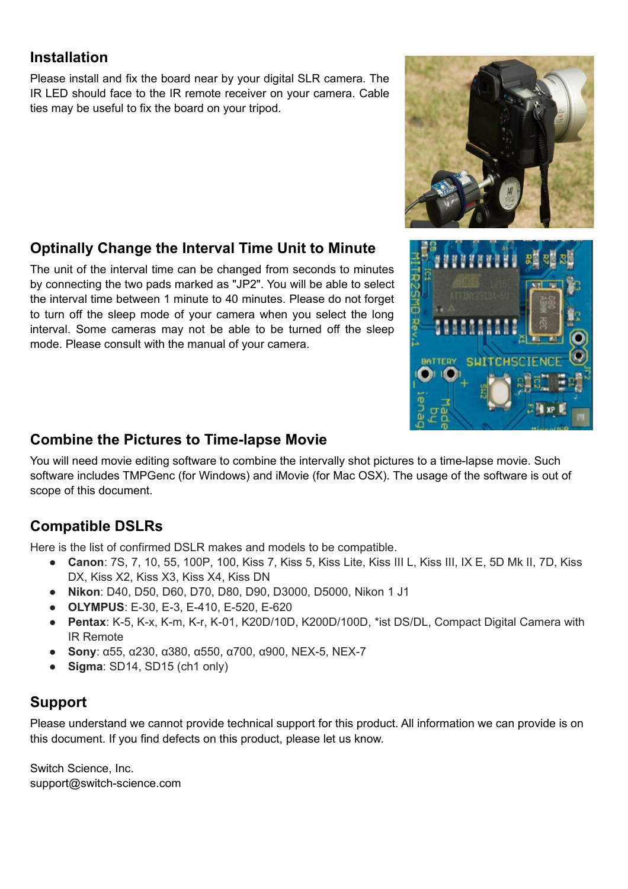## **Installation**

Please install and fix the board near by your digital SLR camera. The IR LED should face to the IR remote receiver on your camera. Cable ties may be useful to fix the board on your tripod.

# **Optinally Change the Interval Time Unit to Minute**

The unit of the interval time can be changed from seconds to minutes by connecting the two pads marked as "JP2". You will be able to select the interval time between 1 minute to 40 minutes. Please do not forget to turn off the sleep mode of your camera when you select the long interval. Some cameras may not be able to be turned off the sleep mode. Please consult with the manual of your camera.

#### **Combine the Pictures to Time-lapse Movie**

You will need movie editing software to combine the intervally shot pictures to a time-lapse movie. Such software includes TMPGenc (for Windows) and iMovie (for Mac OSX). The usage of the software is out of scope of this document.

#### **Compatible DSLRs**

Here is the list of confirmed DSLR makes and models to be compatible.

- **Canon**: 7S, 7, 10, 55, 100P, 100, Kiss 7, Kiss 5, Kiss Lite, Kiss III L, Kiss III, IX E, 5D Mk II, 7D, Kiss DX, Kiss X2, Kiss X3, Kiss X4, Kiss DN
- **Nikon**: D40, D50, D60, D70, D80, D90, D3000, D5000, Nikon 1 J1
- **OLYMPUS**: E-30, E-3, E-410, E-520, E-620
- **Pentax**: K-5, K-x, K-m, K-r, K-01, K20D/10D, K200D/100D, \*ist DS/DL, Compact Digital Camera with IR Remote
- **Sony**: α55, α230, α380, α550, α700, α900, NEX-5, NEX-7
- **Sigma**: SD14, SD15 (ch1 only)

# **Support**

Please understand we cannot provide technical support for this product. All information we can provide is on this document. If you find defects on this product, please let us know.

Switch Science, Inc. support@switch-science.com